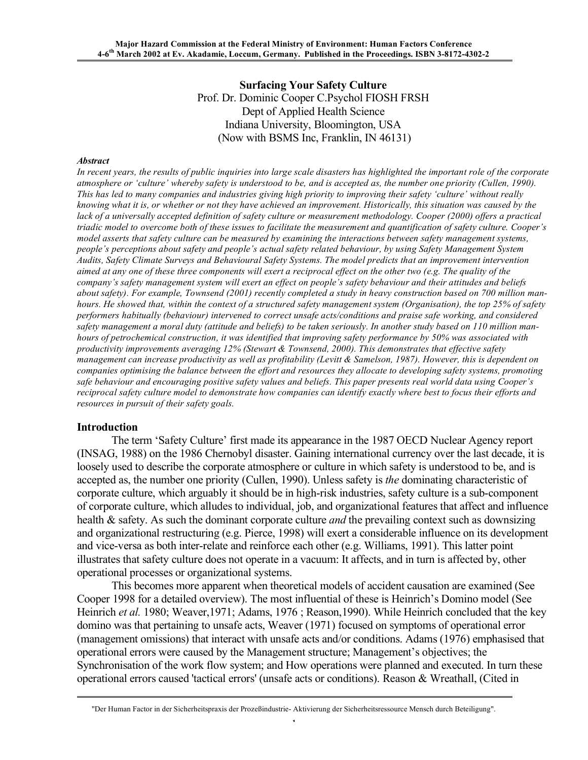**Surfacing Your Safety Culture** Prof. Dr. Dominic Cooper C.Psychol FIOSH FRSH Dept of Applied Health Science Indiana University, Bloomington, USA (Now with BSMS Inc, Franklin, IN 46131)

#### *Abstract*

In recent years, the results of public inquiries into large scale disasters has highlighted the important role of the corporate atmosphere or 'culture' whereby safety is understood to be, and is accepted as, the number one priority (Cullen, 1990). This has led to many companies and industries giving high priority to improving their safety 'culture' without really knowing what it is, or whether or not they have achieved an improvement. Historically, this situation was caused by the lack of a universally accepted definition of safety culture or measurement methodology. Cooper (2000) offers a practical triadic model to overcome both of these issues to facilitate the measurement and quantification of safety culture. Cooper's model asserts that safety culture can be measured by examining the interactions between safety management systems, *people's perceptions about safety and people's actual safety related behaviour, by using Safety Management System Audits, Safety Climate Surveys and Behavioural Safety Systems. The model predicts that an improvement intervention* aimed at any one of these three components will exert a reciprocal effect on the other two (e.g. The quality of the company's safety management system will exert an effect on people's safety behaviour and their attitudes and beliefs about safety). For example, Townsend (2001) recently completed a study in heavy construction based on 700 million manhours. He showed that, within the context of a structured safety management system (Organisation), the top 25% of safety *performers habitually (behaviour) intervened to correct unsafe acts/conditions and praise safe working, and considered* safety management a moral duty (attitude and beliefs) to be taken seriously. In another study based on 110 million manhours of petrochemical construction, it was identified that improving safety performance by 50% was associated with *productivity improvements averaging 12% (Stewart & Townsend, 2000). This demonstrates that effective safety* management can increase productivity as well as profitability (Levitt & Samelson, 1987). However, this is dependent on companies optimising the balance between the effort and resources they allocate to developing safety systems, promoting safe behaviour and encouraging positive safety values and beliefs. This paper presents real world data using Cooper's reciprocal safety culture model to demonstrate how companies can identify exactly where best to focus their efforts and *resources in pursuit of their safety goals.*

#### **Introduction**

The term 'Safety Culture' first made its appearance in the 1987 OECD Nuclear Agency report (INSAG, 1988) on the 1986 Chernobyl disaster. Gaining international currency over the last decade, it is loosely used to describe the corporate atmosphere or culture in which safety is understood to be, and is accepted as, the number one priority (Cullen, 1990). Unless safety is *the* dominating characteristic of corporate culture, which arguably it should be in high-risk industries, safety culture is a sub-component of corporate culture, which alludes to individual, job, and organizational features that affect and influence health & safety. As such the dominant corporate culture *and* the prevailing context such as downsizing and organizational restructuring (e.g. Pierce, 1998) will exert a considerable influence on its development and vice-versa as both inter-relate and reinforce each other (e.g. Williams, 1991). This latter point illustrates that safety culture does not operate in a vacuum: It affects, and in turn is affected by, other operational processes or organizational systems.

This becomes more apparent when theoretical models of accident causation are examined (See Cooper 1998 for a detailed overview). The most influential of these is Heinrich's Domino model (See Heinrich *et al.* 1980; Weaver,1971; Adams, 1976 ; Reason,1990). While Heinrich concluded that the key domino was that pertaining to unsafe acts, Weaver (1971) focused on symptoms of operational error (management omissions) that interact with unsafe acts and/or conditions. Adams (1976) emphasised that operational errors were caused by the Management structure; Management's objectives; the Synchronisation of the work flow system; and How operations were planned and executed. In turn these operational errors caused 'tactical errors' (unsafe acts or conditions). Reason & Wreathall, (Cited in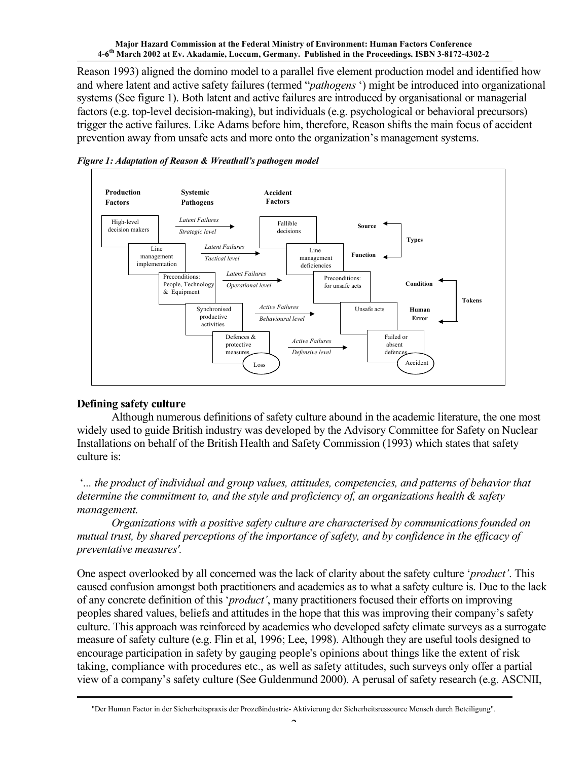Reason 1993) aligned the domino model to a parallel five element production model and identified how and where latent and active safety failures (termed "*pathogens* ') might be introduced into organizational systems (See figure 1). Both latent and active failures are introduced by organisational or managerial factors (e.g. top-level decision-making), but individuals (e.g. psychological or behavioral precursors) trigger the active failures. Like Adams before him, therefore, Reason shifts the main focus of accident prevention away from unsafe acts and more onto the organization's management systems.



*Figure 1: Adaptation of Reason & Wreathall's pathogen model*

# **Defining safety culture**

Although numerous definitions of safety culture abound in the academic literature, the one most widely used to guide British industry was developed by the Advisory Committee for Safety on Nuclear Installations on behalf of the British Health and Safety Commission (1993) which states that safety culture is:

'*... the product of individual and group values, attitudes, competencies, and patterns of behavior that determine the commitment to, and the style and proficiency of, an organizations health & safety management.*

*Organizations with a positive safety culture are characterised by communications founded on mutual trust, by shared perceptions of the importance of safety, and by confidence in the efficacy of preventative measures'.*

One aspect overlooked by all concerned was the lack of clarity about the safety culture '*product'*. This caused confusion amongst both practitioners and academics as to what a safety culture is. Due to the lack of any concrete definition of this '*product'*, many practitioners focused their efforts on improving peoples shared values, beliefs and attitudes in the hope that this was improving their company's safety culture. This approach was reinforced by academics who developed safety climate surveys as a surrogate measure of safety culture (e.g. Flin et al, 1996; Lee, 1998). Although they are useful tools designed to encourage participation in safety by gauging people's opinions about things like the extent of risk taking, compliance with procedures etc., as well as safety attitudes, such surveys only offer a partial view of a company's safety culture (See Guldenmund 2000). A perusal of safety research (e.g. ASCNII,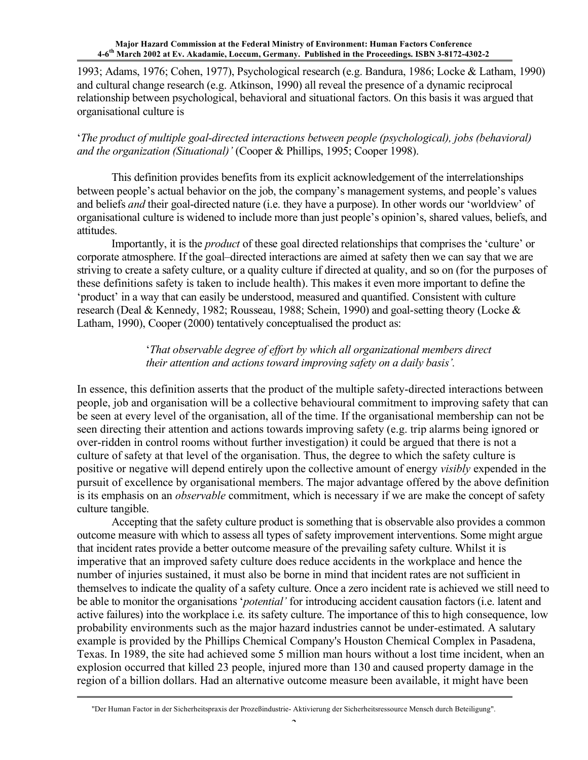1993; Adams, 1976; Cohen, 1977), Psychological research (e.g. Bandura, 1986; Locke & Latham, 1990) and cultural change research (e.g. Atkinson, 1990) all reveal the presence of a dynamic reciprocal relationship between psychological, behavioral and situational factors. On this basis it was argued that organisational culture is

'*The product of multiple goal-directed interactions between people (psychological), jobs (behavioral) and the organization (Situational)'* (Cooper & Phillips, 1995; Cooper 1998).

This definition provides benefits from its explicit acknowledgement of the interrelationships between people's actual behavior on the job, the company's management systems, and people's values and beliefs *and* their goal-directed nature (i.e. they have a purpose). In other words our 'worldview' of organisational culture is widened to include more than just people's opinion's, shared values, beliefs, and attitudes.

Importantly, it is the *product* of these goal directed relationships that comprises the 'culture' or corporate atmosphere. If the goal–directed interactions are aimed at safety then we can say that we are striving to create a safety culture, or a quality culture if directed at quality, and so on (for the purposes of these definitions safety is taken to include health). This makes it even more important to define the 'product' in a way that can easily be understood, measured and quantified. Consistent with culture research (Deal & Kennedy, 1982; Rousseau, 1988; Schein, 1990) and goal-setting theory (Locke & Latham, 1990), Cooper (2000) tentatively conceptualised the product as:

# '*That observable degree of effort by which all organizational members direct their attention and actions toward improving safety on a daily basis'.*

In essence, this definition asserts that the product of the multiple safety-directed interactions between people, job and organisation will be a collective behavioural commitment to improving safety that can be seen at every level of the organisation, all of the time. If the organisational membership can not be seen directing their attention and actions towards improving safety (e.g. trip alarms being ignored or over-ridden in control rooms without further investigation) it could be argued that there is not a culture of safety at that level of the organisation. Thus, the degree to which the safety culture is positive or negative will depend entirely upon the collective amount of energy *visibly* expended in the pursuit of excellence by organisational members. The major advantage offered by the above definition is its emphasis on an *observable* commitment, which is necessary if we are make the concept of safety culture tangible.

Accepting that the safety culture product is something that is observable also provides a common outcome measure with which to assess all types of safety improvement interventions. Some might argue that incident rates provide a better outcome measure of the prevailing safety culture. Whilst it is imperative that an improved safety culture does reduce accidents in the workplace and hence the number of injuries sustained, it must also be borne in mind that incident rates are not sufficient in themselves to indicate the quality of a safety culture. Once a zero incident rate is achieved we still need to be able to monitor the organisations '*potential'* for introducing accident causation factors (i.e. latent and active failures) into the workplace i.e*.* its safety culture. The importance of this to high consequence, low probability environments such as the major hazard industries cannot be under-estimated. A salutary example is provided by the Phillips Chemical Company's Houston Chemical Complex in Pasadena, Texas. In 1989, the site had achieved some 5 million man hours without a lost time incident, when an explosion occurred that killed 23 people, injured more than 130 and caused property damage in the region of a billion dollars. Had an alternative outcome measure been available, it might have been

<sup>&</sup>quot;Der Human Factor in der Sicherheitspraxis der Prozeßindustrie- Aktivierung der Sicherheitsressource Mensch durch Beteiligung".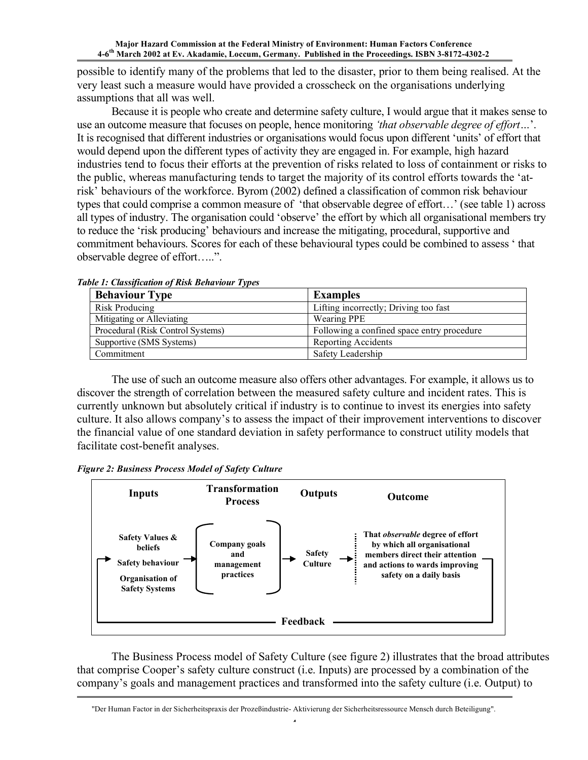possible to identify many of the problems that led to the disaster, prior to them being realised. At the very least such a measure would have provided a crosscheck on the organisations underlying assumptions that all was well.

Because it is people who create and determine safety culture, I would argue that it makes sense to use an outcome measure that focuses on people, hence monitoring *'that observable degree of effort…*'. It is recognised that different industries or organisations would focus upon different 'units' of effort that would depend upon the different types of activity they are engaged in. For example, high hazard industries tend to focus their efforts at the prevention of risks related to loss of containment or risks to the public, whereas manufacturing tends to target the majority of its control efforts towards the 'atrisk' behaviours of the workforce. Byrom (2002) defined a classification of common risk behaviour types that could comprise a common measure of 'that observable degree of effort…' (see table 1) across all types of industry. The organisation could 'observe' the effort by which all organisational members try to reduce the 'risk producing' behaviours and increase the mitigating, procedural, supportive and commitment behaviours. Scores for each of these behavioural types could be combined to assess ' that observable degree of effort…..".

| <b>Behaviour Type</b>             | <b>Examples</b>                            |
|-----------------------------------|--------------------------------------------|
| <b>Risk Producing</b>             | Lifting incorrectly; Driving too fast      |
| Mitigating or Alleviating         | <b>Wearing PPE</b>                         |
| Procedural (Risk Control Systems) | Following a confined space entry procedure |
| Supportive (SMS Systems)          | Reporting Accidents                        |
| Commitment                        | Safety Leadership                          |

*Table 1: Classification of Risk Behaviour Types*

The use of such an outcome measure also offers other advantages. For example, it allows us to discover the strength of correlation between the measured safety culture and incident rates. This is currently unknown but absolutely critical if industry is to continue to invest its energies into safety culture. It also allows company's to assess the impact of their improvement interventions to discover the financial value of one standard deviation in safety performance to construct utility models that facilitate cost-benefit analyses.





The Business Process model of Safety Culture (see figure 2) illustrates that the broad attributes that comprise Cooper's safety culture construct (i.e. Inputs) are processed by a combination of the company's goals and management practices and transformed into the safety culture (i.e. Output) to

<sup>&</sup>quot;Der Human Factor in der Sicherheitspraxis der Prozeßindustrie- Aktivierung der Sicherheitsressource Mensch durch Beteiligung".  $\overline{a}$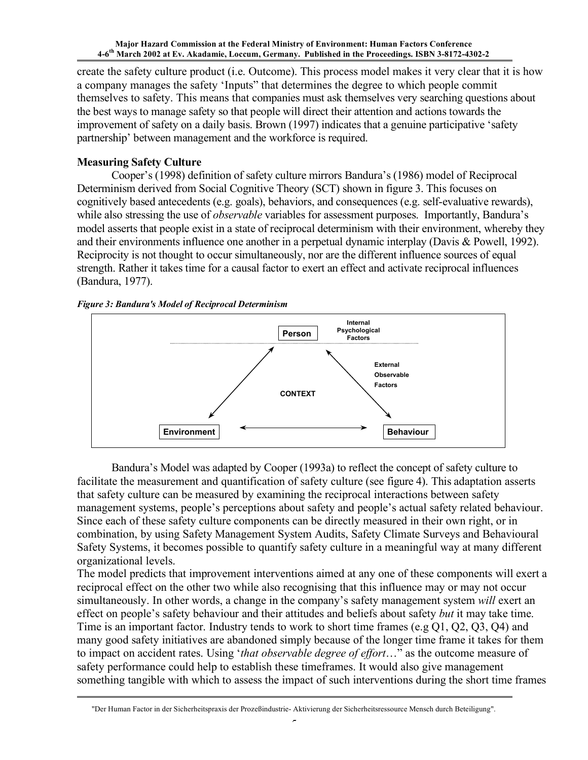create the safety culture product (i.e. Outcome). This process model makes it very clear that it is how a company manages the safety 'Inputs" that determines the degree to which people commit themselves to safety. This means that companies must ask themselves very searching questions about the best ways to manage safety so that people will direct their attention and actions towards the improvement of safety on a daily basis. Brown (1997) indicates that a genuine participative 'safety partnership' between management and the workforce is required.

# **Measuring Safety Culture**

Cooper's (1998) definition of safety culture mirrors Bandura's (1986) model of Reciprocal Determinism derived from Social Cognitive Theory (SCT) shown in figure 3. This focuses on cognitively based antecedents (e.g. goals), behaviors, and consequences (e.g. self-evaluative rewards), while also stressing the use of *observable* variables for assessment purposes. Importantly, Bandura's model asserts that people exist in a state of reciprocal determinism with their environment, whereby they and their environments influence one another in a perpetual dynamic interplay (Davis & Powell, 1992). Reciprocity is not thought to occur simultaneously, nor are the different influence sources of equal strength. Rather it takes time for a causal factor to exert an effect and activate reciprocal influences (Bandura, 1977).





Bandura's Model was adapted by Cooper (1993a) to reflect the concept of safety culture to facilitate the measurement and quantification of safety culture (see figure 4). This adaptation asserts that safety culture can be measured by examining the reciprocal interactions between safety management systems, people's perceptions about safety and people's actual safety related behaviour. Since each of these safety culture components can be directly measured in their own right, or in combination, by using Safety Management System Audits, Safety Climate Surveys and Behavioural Safety Systems, it becomes possible to quantify safety culture in a meaningful way at many different organizational levels.

The model predicts that improvement interventions aimed at any one of these components will exert a reciprocal effect on the other two while also recognising that this influence may or may not occur simultaneously. In other words, a change in the company's safety management system *will* exert an effect on people's safety behaviour and their attitudes and beliefs about safety *but* it may take time. Time is an important factor. Industry tends to work to short time frames (e.g Q1, Q2, Q3, Q4) and many good safety initiatives are abandoned simply because of the longer time frame it takes for them to impact on accident rates. Using '*that observable degree of effort*…" as the outcome measure of safety performance could help to establish these timeframes. It would also give management something tangible with which to assess the impact of such interventions during the short time frames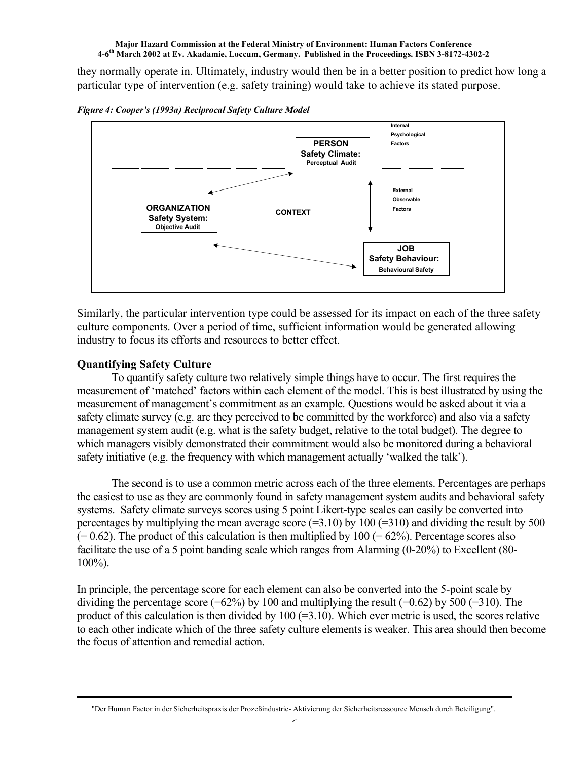they normally operate in. Ultimately, industry would then be in a better position to predict how long a particular type of intervention (e.g. safety training) would take to achieve its stated purpose.





Similarly, the particular intervention type could be assessed for its impact on each of the three safety culture components. Over a period of time, sufficient information would be generated allowing industry to focus its efforts and resources to better effect.

# **Quantifying Safety Culture**

To quantify safety culture two relatively simple things have to occur. The first requires the measurement of 'matched' factors within each element of the model. This is best illustrated by using the measurement of management's commitment as an example. Questions would be asked about it via a safety climate survey (e.g. are they perceived to be committed by the workforce) and also via a safety management system audit (e.g. what is the safety budget, relative to the total budget). The degree to which managers visibly demonstrated their commitment would also be monitored during a behavioral safety initiative (e.g. the frequency with which management actually 'walked the talk').

The second is to use a common metric across each of the three elements. Percentages are perhaps the easiest to use as they are commonly found in safety management system audits and behavioral safety systems. Safety climate surveys scores using 5 point Likert-type scales can easily be converted into percentages by multiplying the mean average score  $(=3.10)$  by  $100 (=310)$  and dividing the result by 500  $(= 0.62)$ . The product of this calculation is then multiplied by 100 ( $= 62\%$ ). Percentage scores also facilitate the use of a 5 point banding scale which ranges from Alarming (0-20%) to Excellent (80- 100%).

In principle, the percentage score for each element can also be converted into the 5-point scale by dividing the percentage score (=62%) by 100 and multiplying the result (=0.62) by 500 (=310). The product of this calculation is then divided by  $100 (=3.10)$ . Which ever metric is used, the scores relative to each other indicate which of the three safety culture elements is weaker. This area should then become the focus of attention and remedial action.

<sup>&</sup>quot;Der Human Factor in der Sicherheitspraxis der Prozeßindustrie- Aktivierung der Sicherheitsressource Mensch durch Beteiligung".  $\overline{\phantom{a}}$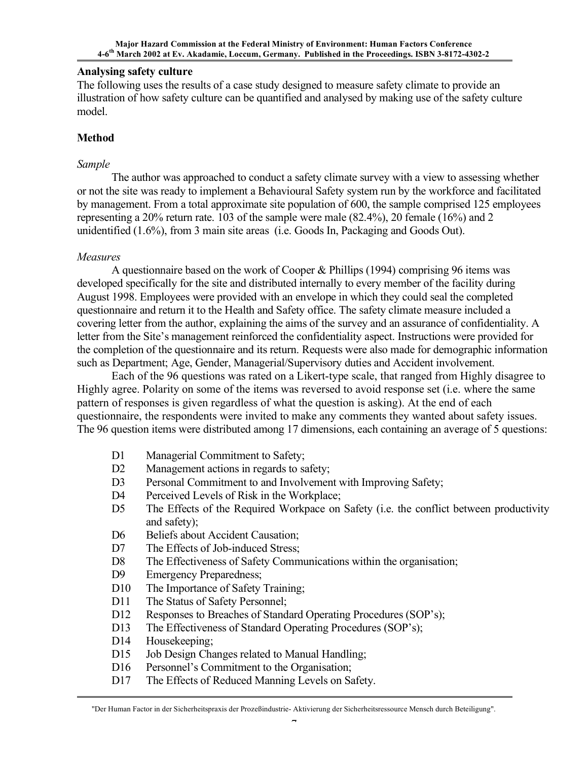### **Analysing safety culture**

The following uses the results of a case study designed to measure safety climate to provide an illustration of how safety culture can be quantified and analysed by making use of the safety culture model.

### **Method**

#### *Sample*

The author was approached to conduct a safety climate survey with a view to assessing whether or not the site was ready to implement a Behavioural Safety system run by the workforce and facilitated by management. From a total approximate site population of 600, the sample comprised 125 employees representing a 20% return rate. 103 of the sample were male (82.4%), 20 female (16%) and 2 unidentified (1.6%), from 3 main site areas (i.e. Goods In, Packaging and Goods Out).

### *Measures*

A questionnaire based on the work of Cooper & Phillips (1994) comprising 96 items was developed specifically for the site and distributed internally to every member of the facility during August 1998. Employees were provided with an envelope in which they could seal the completed questionnaire and return it to the Health and Safety office. The safety climate measure included a covering letter from the author, explaining the aims of the survey and an assurance of confidentiality. A letter from the Site's management reinforced the confidentiality aspect. Instructions were provided for the completion of the questionnaire and its return. Requests were also made for demographic information such as Department; Age, Gender, Managerial/Supervisory duties and Accident involvement.

Each of the 96 questions was rated on a Likert-type scale, that ranged from Highly disagree to Highly agree. Polarity on some of the items was reversed to avoid response set (i.e. where the same pattern of responses is given regardless of what the question is asking). At the end of each questionnaire, the respondents were invited to make any comments they wanted about safety issues. The 96 question items were distributed among 17 dimensions, each containing an average of 5 questions:

- D1 Managerial Commitment to Safety;
- D2 Management actions in regards to safety;
- D3 Personal Commitment to and Involvement with Improving Safety;
- D4 Perceived Levels of Risk in the Workplace;
- D5 The Effects of the Required Workpace on Safety (i.e. the conflict between productivity and safety);
- D6 Beliefs about Accident Causation;
- D7 The Effects of Job-induced Stress;
- D8 The Effectiveness of Safety Communications within the organisation;
- D9 Emergency Preparedness;
- D10 The Importance of Safety Training;
- D11 The Status of Safety Personnel;
- D12 Responses to Breaches of Standard Operating Procedures (SOP's);
- D13 The Effectiveness of Standard Operating Procedures (SOP's);
- D14 Housekeeping:
- D15 Job Design Changes related to Manual Handling;
- D16 Personnel's Commitment to the Organisation;
- D17 The Effects of Reduced Manning Levels on Safety.

<sup>&</sup>quot;Der Human Factor in der Sicherheitspraxis der Prozeßindustrie- Aktivierung der Sicherheitsressource Mensch durch Beteiligung".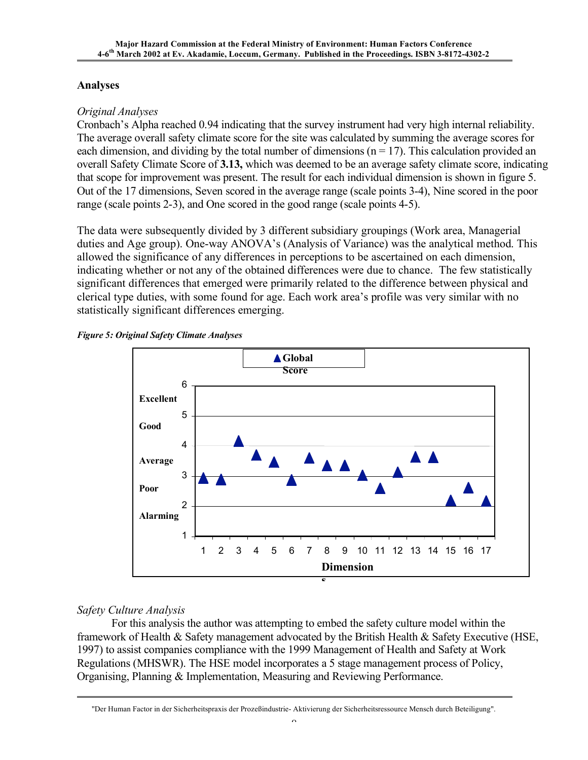# **Analyses**

# *Original Analyses*

Cronbach's Alpha reached 0.94 indicating that the survey instrument had very high internal reliability. The average overall safety climate score for the site was calculated by summing the average scores for each dimension, and dividing by the total number of dimensions  $(n = 17)$ . This calculation provided an overall Safety Climate Score of **3.13,** which was deemed to be an average safety climate score, indicating that scope for improvement was present. The result for each individual dimension is shown in figure 5. Out of the 17 dimensions, Seven scored in the average range (scale points 3-4), Nine scored in the poor range (scale points 2-3), and One scored in the good range (scale points 4-5).

The data were subsequently divided by 3 different subsidiary groupings (Work area, Managerial duties and Age group). One-way ANOVA's (Analysis of Variance) was the analytical method. This allowed the significance of any differences in perceptions to be ascertained on each dimension, indicating whether or not any of the obtained differences were due to chance. The few statistically significant differences that emerged were primarily related to the difference between physical and clerical type duties, with some found for age. Each work area's profile was very similar with no statistically significant differences emerging.





# *Safety Culture Analysis*

For this analysis the author was attempting to embed the safety culture model within the framework of Health & Safety management advocated by the British Health & Safety Executive (HSE, 1997) to assist companies compliance with the 1999 Management of Health and Safety at Work Regulations (MHSWR). The HSE model incorporates a 5 stage management process of Policy, Organising, Planning & Implementation, Measuring and Reviewing Performance.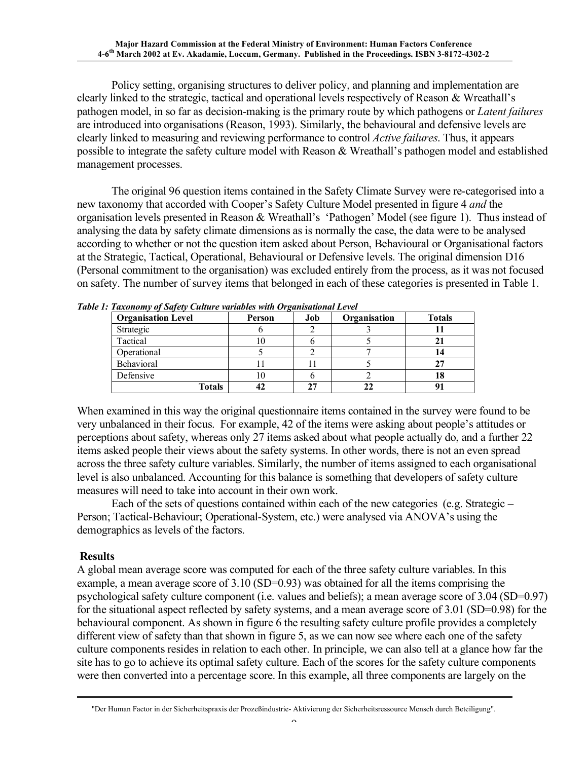Policy setting, organising structures to deliver policy, and planning and implementation are clearly linked to the strategic, tactical and operational levels respectively of Reason & Wreathall's pathogen model, in so far as decision-making is the primary route by which pathogens or *Latent failures* are introduced into organisations (Reason, 1993). Similarly, the behavioural and defensive levels are clearly linked to measuring and reviewing performance to control *Active failures*. Thus, it appears possible to integrate the safety culture model with Reason & Wreathall's pathogen model and established management processes.

The original 96 question items contained in the Safety Climate Survey were re-categorised into a new taxonomy that accorded with Cooper's Safety Culture Model presented in figure 4 *and* the organisation levels presented in Reason & Wreathall's 'Pathogen' Model (see figure 1). Thus instead of analysing the data by safety climate dimensions as is normally the case, the data were to be analysed according to whether or not the question item asked about Person, Behavioural or Organisational factors at the Strategic, Tactical, Operational, Behavioural or Defensive levels. The original dimension D16 (Personal commitment to the organisation) was excluded entirely from the process, as it was not focused on safety. The number of survey items that belonged in each of these categories is presented in Table 1.

| <b>Organisation Level</b> | Person | Job | Organisation | <b>Totals</b> |  |
|---------------------------|--------|-----|--------------|---------------|--|
| Strategic                 |        |     |              |               |  |
| Tactical                  |        |     |              |               |  |
| Operational               |        |     |              | 4             |  |
| Behavioral                |        |     |              |               |  |
| Defensive                 |        |     |              | 10            |  |
| <b>Totals</b>             |        |     |              |               |  |

*Table 1: Taxonomy of Safety Culture variables with Organisational Level*

When examined in this way the original questionnaire items contained in the survey were found to be very unbalanced in their focus. For example, 42 of the items were asking about people's attitudes or perceptions about safety, whereas only 27 items asked about what people actually do, and a further 22 items asked people their views about the safety systems. In other words, there is not an even spread across the three safety culture variables. Similarly, the number of items assigned to each organisational level is also unbalanced. Accounting for this balance is something that developers of safety culture measures will need to take into account in their own work.

Each of the sets of questions contained within each of the new categories (e.g. Strategic – Person; Tactical-Behaviour; Operational-System, etc.) were analysed via ANOVA's using the demographics as levels of the factors.

### **Results**

A global mean average score was computed for each of the three safety culture variables. In this example, a mean average score of 3.10 (SD=0.93) was obtained for all the items comprising the psychological safety culture component (i.e. values and beliefs); a mean average score of 3.04 (SD=0.97) for the situational aspect reflected by safety systems, and a mean average score of 3.01 (SD=0.98) for the behavioural component. As shown in figure 6 the resulting safety culture profile provides a completely different view of safety than that shown in figure 5, as we can now see where each one of the safety culture components resides in relation to each other. In principle, we can also tell at a glance how far the site has to go to achieve its optimal safety culture. Each of the scores for the safety culture components were then converted into a percentage score. In this example, all three components are largely on the

<sup>&</sup>quot;Der Human Factor in der Sicherheitspraxis der Prozeßindustrie- Aktivierung der Sicherheitsressource Mensch durch Beteiligung".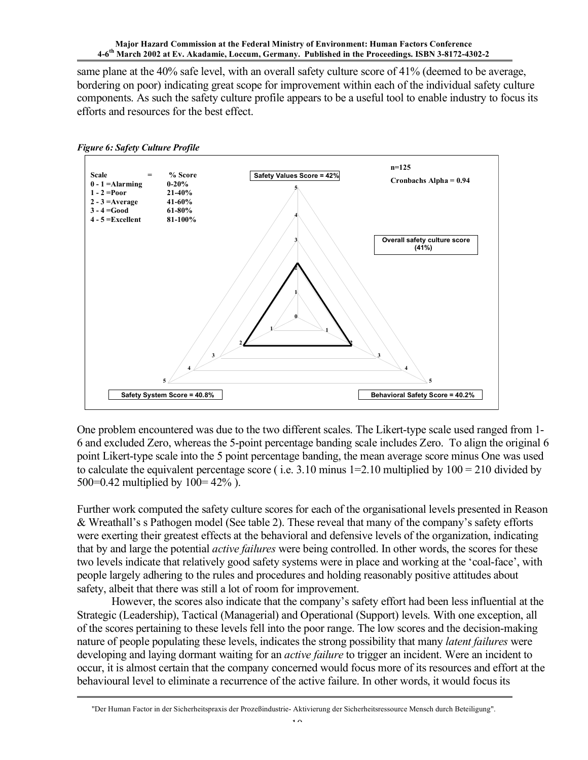same plane at the 40% safe level, with an overall safety culture score of 41% (deemed to be average, bordering on poor) indicating great scope for improvement within each of the individual safety culture components. As such the safety culture profile appears to be a useful tool to enable industry to focus its efforts and resources for the best effect.



One problem encountered was due to the two different scales. The Likert-type scale used ranged from 1- 6 and excluded Zero, whereas the 5-point percentage banding scale includes Zero. To align the original 6 point Likert-type scale into the 5 point percentage banding, the mean average score minus One was used to calculate the equivalent percentage score (i.e. 3.10 minus  $1=2.10$  multiplied by  $100 = 210$  divided by 500=0.42 multiplied by 100= 42% ).

Further work computed the safety culture scores for each of the organisational levels presented in Reason & Wreathall's s Pathogen model (See table 2). These reveal that many of the company's safety efforts were exerting their greatest effects at the behavioral and defensive levels of the organization, indicating that by and large the potential *active failures* were being controlled. In other words, the scores for these two levels indicate that relatively good safety systems were in place and working at the 'coal-face', with people largely adhering to the rules and procedures and holding reasonably positive attitudes about safety, albeit that there was still a lot of room for improvement.

However, the scores also indicate that the company's safety effort had been less influential at the Strategic (Leadership), Tactical (Managerial) and Operational (Support) levels. With one exception, all of the scores pertaining to these levels fell into the poor range. The low scores and the decision-making nature of people populating these levels, indicates the strong possibility that many *latent failures* were developing and laying dormant waiting for an *active failure* to trigger an incident. Were an incident to occur, it is almost certain that the company concerned would focus more of its resources and effort at the behavioural level to eliminate a recurrence of the active failure. In other words, it would focus its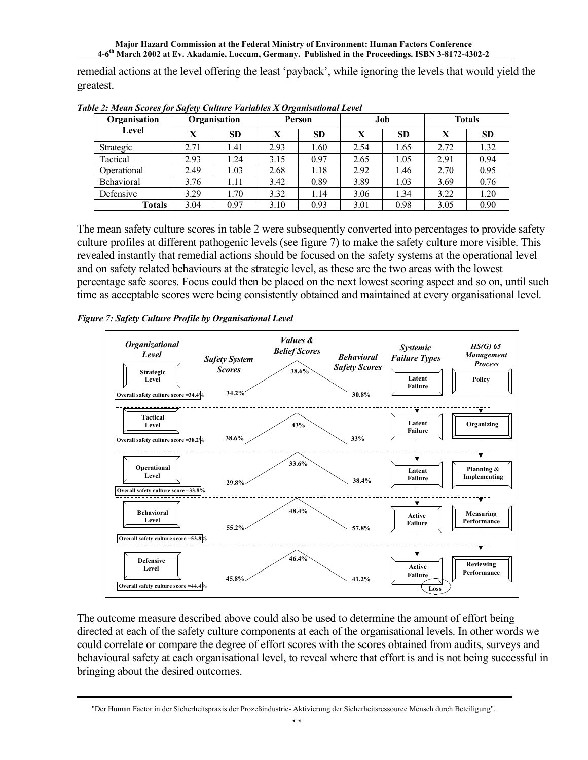remedial actions at the level offering the least 'payback', while ignoring the levels that would yield the greatest.

| Organisation<br>Level | Organisation |      | Person |           | Job  |           | <b>Totals</b> |           |
|-----------------------|--------------|------|--------|-----------|------|-----------|---------------|-----------|
|                       | X            | SD   | X      | <b>SD</b> | X    | <b>SD</b> | X             | <b>SD</b> |
| Strategic             | 2.71         | l.41 | 2.93   | 1.60      | 2.54 | 1.65      | 2.72          | 1.32      |
| Tactical              | 2.93         | 1.24 | 3.15   | 0.97      | 2.65 | 1.05      | 2.91          | 0.94      |
| Operational           | 2.49         | 1.03 | 2.68   | 1.18      | 2.92 | 1.46      | 2.70          | 0.95      |
| Behavioral            | 3.76         | 1.11 | 3.42   | 0.89      | 3.89 | 1.03      | 3.69          | 0.76      |
| Defensive             | 3.29         | 1.70 | 3.32   | 1.14      | 3.06 | 1.34      | 3.22          | 1.20      |
| <b>Totals</b>         | 3.04         | 0.97 | 3.10   | 0.93      | 3.01 | 0.98      | 3.05          | 0.90      |

*Table 2: Mean Scores for Safety Culture Variables X Organisational Level*

The mean safety culture scores in table 2 were subsequently converted into percentages to provide safety culture profiles at different pathogenic levels (see figure 7) to make the safety culture more visible. This revealed instantly that remedial actions should be focused on the safety systems at the operational level and on safety related behaviours at the strategic level, as these are the two areas with the lowest percentage safe scores. Focus could then be placed on the next lowest scoring aspect and so on, until such time as acceptable scores were being consistently obtained and maintained at every organisational level.

*Figure 7: Safety Culture Profile by Organisational Level*



The outcome measure described above could also be used to determine the amount of effort being directed at each of the safety culture components at each of the organisational levels. In other words we could correlate or compare the degree of effort scores with the scores obtained from audits, surveys and behavioural safety at each organisational level, to reveal where that effort is and is not being successful in bringing about the desired outcomes.

<sup>&</sup>quot;Der Human Factor in der Sicherheitspraxis der Prozeßindustrie- Aktivierung der Sicherheitsressource Mensch durch Beteiligung".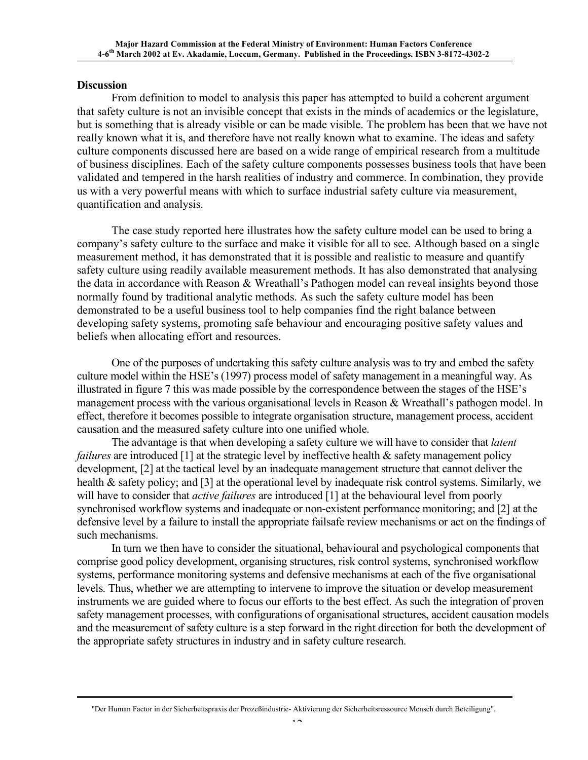#### **Discussion**

From definition to model to analysis this paper has attempted to build a coherent argument that safety culture is not an invisible concept that exists in the minds of academics or the legislature, but is something that is already visible or can be made visible. The problem has been that we have not really known what it is, and therefore have not really known what to examine. The ideas and safety culture components discussed here are based on a wide range of empirical research from a multitude of business disciplines. Each of the safety culture components possesses business tools that have been validated and tempered in the harsh realities of industry and commerce. In combination, they provide us with a very powerful means with which to surface industrial safety culture via measurement, quantification and analysis.

The case study reported here illustrates how the safety culture model can be used to bring a company's safety culture to the surface and make it visible for all to see. Although based on a single measurement method, it has demonstrated that it is possible and realistic to measure and quantify safety culture using readily available measurement methods. It has also demonstrated that analysing the data in accordance with Reason & Wreathall's Pathogen model can reveal insights beyond those normally found by traditional analytic methods. As such the safety culture model has been demonstrated to be a useful business tool to help companies find the right balance between developing safety systems, promoting safe behaviour and encouraging positive safety values and beliefs when allocating effort and resources.

One of the purposes of undertaking this safety culture analysis was to try and embed the safety culture model within the HSE's (1997) process model of safety management in a meaningful way. As illustrated in figure 7 this was made possible by the correspondence between the stages of the HSE's management process with the various organisational levels in Reason & Wreathall's pathogen model. In effect, therefore it becomes possible to integrate organisation structure, management process, accident causation and the measured safety culture into one unified whole.

The advantage is that when developing a safety culture we will have to consider that *latent failures* are introduced [1] at the strategic level by ineffective health & safety management policy development, [2] at the tactical level by an inadequate management structure that cannot deliver the health & safety policy; and [3] at the operational level by inadequate risk control systems. Similarly, we will have to consider that *active failures* are introduced [1] at the behavioural level from poorly synchronised workflow systems and inadequate or non-existent performance monitoring; and [2] at the defensive level by a failure to install the appropriate failsafe review mechanisms or act on the findings of such mechanisms.

In turn we then have to consider the situational, behavioural and psychological components that comprise good policy development, organising structures, risk control systems, synchronised workflow systems, performance monitoring systems and defensive mechanisms at each of the five organisational levels. Thus, whether we are attempting to intervene to improve the situation or develop measurement instruments we are guided where to focus our efforts to the best effect. As such the integration of proven safety management processes, with configurations of organisational structures, accident causation models and the measurement of safety culture is a step forward in the right direction for both the development of the appropriate safety structures in industry and in safety culture research.

<sup>&</sup>quot;Der Human Factor in der Sicherheitspraxis der Prozeßindustrie- Aktivierung der Sicherheitsressource Mensch durch Beteiligung".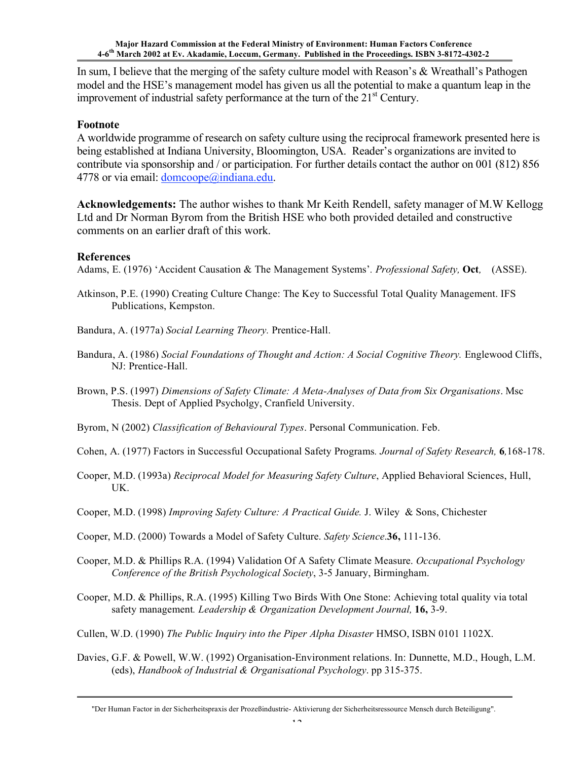In sum, I believe that the merging of the safety culture model with Reason's & Wreathall's Pathogen model and the HSE's management model has given us all the potential to make a quantum leap in the improvement of industrial safety performance at the turn of the 21<sup>st</sup> Century.

### **Footnote**

A worldwide programme of research on safety culture using the reciprocal framework presented here is being established at Indiana University, Bloomington, USA. Reader's organizations are invited to contribute via sponsorship and / or participation. For further details contact the author on 001 (812) 856 4778 or via email: domcoope@indiana.edu.

**Acknowledgements:** The author wishes to thank Mr Keith Rendell, safety manager of M.W Kellogg Ltd and Dr Norman Byrom from the British HSE who both provided detailed and constructive comments on an earlier draft of this work.

### **References**

Adams, E. (1976) 'Accident Causation & The Management Systems'*. Professional Safety,* **Oct***,* (ASSE).

- Atkinson, P.E. (1990) Creating Culture Change: The Key to Successful Total Quality Management. IFS Publications, Kempston.
- Bandura, A. (1977a) *Social Learning Theory.* Prentice-Hall.
- Bandura, A. (1986) *Social Foundations of Thought and Action: A Social Cognitive Theory.* Englewood Cliffs, NJ: Prentice-Hall.
- Brown, P.S. (1997) *Dimensions of Safety Climate: A Meta-Analyses of Data from Six Organisations*. Msc Thesis. Dept of Applied Psycholgy, Cranfield University.
- Byrom, N (2002) *Classification of Behavioural Types*. Personal Communication. Feb.
- Cohen, A. (1977) Factors in Successful Occupational Safety Programs*. Journal of Safety Research,* **6***,*168-178.
- Cooper, M.D. (1993a) *Reciprocal Model for Measuring Safety Culture*, Applied Behavioral Sciences, Hull, UK.
- Cooper, M.D. (1998) *Improving Safety Culture: A Practical Guide.* J. Wiley & Sons, Chichester
- Cooper, M.D. (2000) Towards a Model of Safety Culture. *Safety Science*.**36,** 111-136.
- Cooper, M.D. & Phillips R.A. (1994) Validation Of A Safety Climate Measure. *Occupational Psychology Conference of the British Psychological Society*, 3-5 January, Birmingham.
- Cooper, M.D. & Phillips, R.A. (1995) Killing Two Birds With One Stone: Achieving total quality via total safety management*. Leadership & Organization Development Journal,* **16,** 3-9.
- Cullen, W.D. (1990) *The Public Inquiry into the Piper Alpha Disaster* HMSO, ISBN 0101 1102X.
- Davies, G.F. & Powell, W.W. (1992) Organisation-Environment relations. In: Dunnette, M.D., Hough, L.M. (eds), *Handbook of Industrial & Organisational Psychology*. pp 315-375.

<sup>&</sup>quot;Der Human Factor in der Sicherheitspraxis der Prozeßindustrie- Aktivierung der Sicherheitsressource Mensch durch Beteiligung".